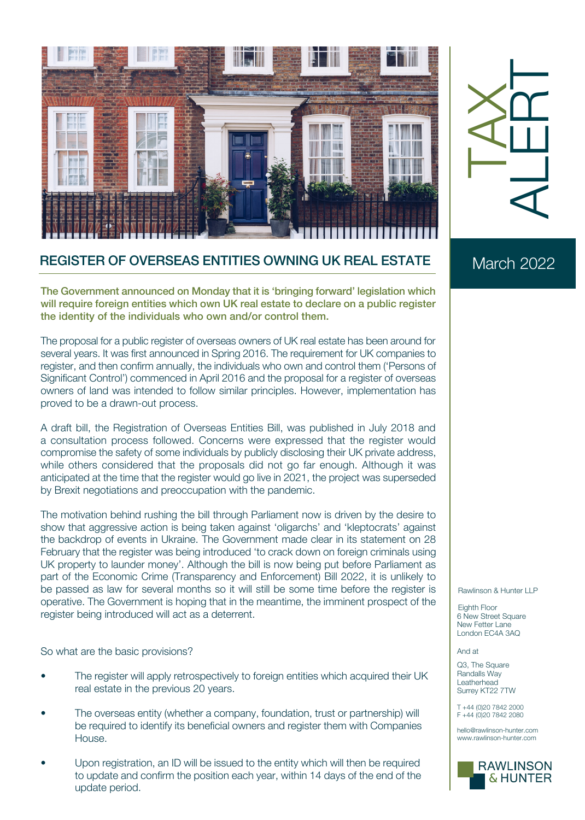

## TAX ALERT

## REGISTER OF OVERSEAS ENTITIES OWNING UK REAL ESTATE

The Government announced on Monday that it is 'bringing forward' legislation which will require foreign entities which own UK real estate to declare on a public register the identity of the individuals who own and/or control them.

The proposal for a public register of overseas owners of UK real estate has been around for several years. It was first announced in Spring 2016. The requirement for UK companies to register, and then confirm annually, the individuals who own and control them ('Persons of Significant Control') commenced in April 2016 and the proposal for a register of overseas owners of land was intended to follow similar principles. However, implementation has proved to be a drawn-out process.

A draft bill, the Registration of Overseas Entities Bill, was published in July 2018 and a consultation process followed. Concerns were expressed that the register would compromise the safety of some individuals by publicly disclosing their UK private address, while others considered that the proposals did not go far enough. Although it was anticipated at the time that the register would go live in 2021, the project was superseded by Brexit negotiations and preoccupation with the pandemic.

The motivation behind rushing the bill through Parliament now is driven by the desire to show that aggressive action is being taken against 'oligarchs' and 'kleptocrats' against the backdrop of events in Ukraine. The Government made clear in its statement on 28 February that the register was being introduced 'to crack down on foreign criminals using UK property to launder money'. Although the bill is now being put before Parliament as part of the Economic Crime (Transparency and Enforcement) Bill 2022, it is unlikely to be passed as law for several months so it will still be some time before the register is operative. The Government is hoping that in the meantime, the imminent prospect of the register being introduced will act as a deterrent.

So what are the basic provisions?

- The register will apply retrospectively to foreign entities which acquired their UK real estate in the previous 20 years.
- The overseas entity (whether a company, foundation, trust or partnership) will be required to identify its beneficial owners and register them with Companies House.
- Upon registration, an ID will be issued to the entity which will then be required to update and confirm the position each year, within 14 days of the end of the update period.

## March 2022

## Rawlinson & Hunter LLP

Eighth Floor 6 New Street Square New Fetter Lane London EC4A 3AQ

And at

Q3, The Square Randalls Way Leatherhead Surrey KT22 7TW

T +44 (0)20 7842 2000 F +44 (0)20 7842 2080

hello@rawlinson-hunter.com www.rawlinson-hunter.com